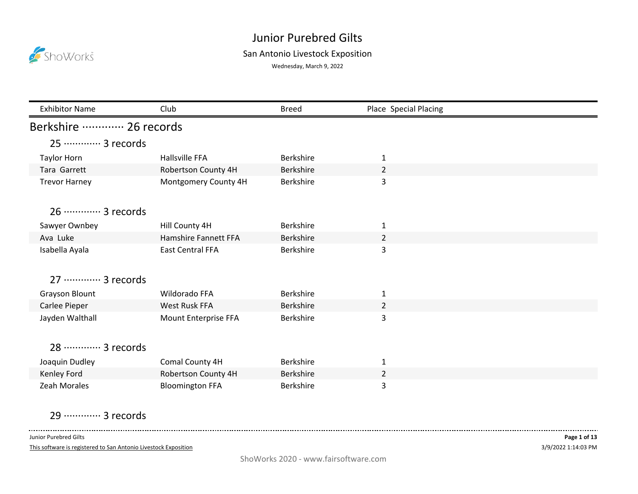

#### San Antonio Livestock Exposition

Wednesday, March 9, 2022

| <b>Exhibitor Name</b>         | Club                    | <b>Breed</b>     | Place Special Placing |  |
|-------------------------------|-------------------------|------------------|-----------------------|--|
| Berkshire ………… 26 records     |                         |                  |                       |  |
| 25 ………… 3 records             |                         |                  |                       |  |
| <b>Taylor Horn</b>            | Hallsville FFA          | Berkshire        | $\mathbf{1}$          |  |
| Tara Garrett                  | Robertson County 4H     | <b>Berkshire</b> | $\overline{2}$        |  |
| <b>Trevor Harney</b>          | Montgomery County 4H    | <b>Berkshire</b> | 3                     |  |
|                               |                         |                  |                       |  |
| 26 ………… 3 records             |                         |                  |                       |  |
| Sawyer Ownbey                 | Hill County 4H          | Berkshire        | 1                     |  |
| Ava Luke                      | Hamshire Fannett FFA    | <b>Berkshire</b> | $\overline{2}$        |  |
| Isabella Ayala                | <b>East Central FFA</b> | Berkshire        | 3                     |  |
|                               |                         |                  |                       |  |
| 27 ………… 3 records             |                         |                  |                       |  |
| Grayson Blount                | Wildorado FFA           | Berkshire        | $\mathbf{1}$          |  |
| Carlee Pieper                 | West Rusk FFA           | <b>Berkshire</b> | $\overline{2}$        |  |
| Jayden Walthall               | Mount Enterprise FFA    | Berkshire        | 3                     |  |
|                               |                         |                  |                       |  |
| 28 ………… 3 records             |                         |                  |                       |  |
|                               | Comal County 4H         | Berkshire        |                       |  |
| Joaquin Dudley<br>Kenley Ford | Robertson County 4H     | Berkshire        | 1<br>$\overline{2}$   |  |
| Zeah Morales                  | <b>Bloomington FFA</b>  | <b>Berkshire</b> | 3                     |  |
|                               |                         |                  |                       |  |

29 ·············· 3 records

Junior Purebred Gilts

 $\sim$   $\sim$   $\sim$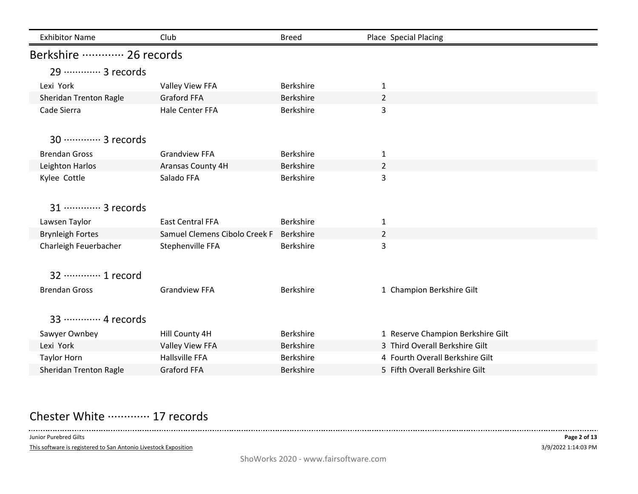| <b>Exhibitor Name</b>      | Club                                    | <b>Breed</b>     | Place Special Placing             |
|----------------------------|-----------------------------------------|------------------|-----------------------------------|
| Berkshire ………… 26 records  |                                         |                  |                                   |
| 29 ………… 3 records          |                                         |                  |                                   |
| Lexi York                  | Valley View FFA                         | Berkshire        | 1                                 |
| Sheridan Trenton Ragle     | <b>Graford FFA</b>                      | Berkshire        | $\overline{2}$                    |
| Cade Sierra                | Hale Center FFA                         | Berkshire        | 3                                 |
| 30 ············· 3 records |                                         |                  |                                   |
| <b>Brendan Gross</b>       | <b>Grandview FFA</b>                    | Berkshire        | $\mathbf{1}$                      |
| Leighton Harlos            | Aransas County 4H                       | Berkshire        | $\overline{2}$                    |
| Kylee Cottle               | Salado FFA                              | Berkshire        | 3                                 |
| 31 ………… 3 records          |                                         |                  |                                   |
| Lawsen Taylor              | <b>East Central FFA</b>                 | Berkshire        | $\mathbf{1}$                      |
| <b>Brynleigh Fortes</b>    | Samuel Clemens Cibolo Creek F Berkshire |                  | $\overline{2}$                    |
| Charleigh Feuerbacher      | Stephenville FFA                        | Berkshire        | 3                                 |
| 32 ………… 1 record           |                                         |                  |                                   |
| <b>Brendan Gross</b>       | <b>Grandview FFA</b>                    | <b>Berkshire</b> | 1 Champion Berkshire Gilt         |
| 33 ………… 4 records          |                                         |                  |                                   |
| Sawyer Ownbey              | Hill County 4H                          | Berkshire        | 1 Reserve Champion Berkshire Gilt |
| Lexi York                  | Valley View FFA                         | Berkshire        | 3 Third Overall Berkshire Gilt    |
| <b>Taylor Horn</b>         | <b>Hallsville FFA</b>                   | Berkshire        | 4 Fourth Overall Berkshire Gilt   |
| Sheridan Trenton Ragle     | <b>Graford FFA</b>                      | Berkshire        | 5 Fifth Overall Berkshire Gilt    |
|                            |                                         |                  |                                   |

## Chester White ·············· 17 records

Junior Purebred Gilts

 $\sim$   $\sim$ 

This software is registered to San Antonio Livestock Exposition

------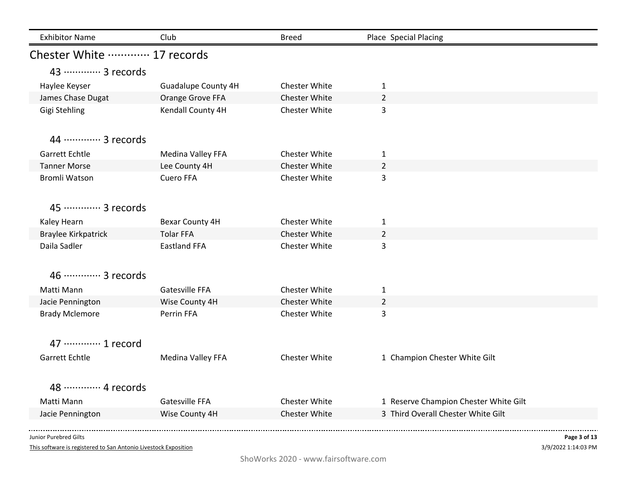| <b>Exhibitor Name</b>      | Club                       | <b>Breed</b>  | Place Special Placing                 |
|----------------------------|----------------------------|---------------|---------------------------------------|
| Chester White  17 records  |                            |               |                                       |
| 43 ………… 3 records          |                            |               |                                       |
| Haylee Keyser              | <b>Guadalupe County 4H</b> | Chester White | $\mathbf{1}$                          |
| James Chase Dugat          | Orange Grove FFA           | Chester White | $\overline{2}$                        |
| Gigi Stehling              | Kendall County 4H          | Chester White | 3                                     |
| 44 ………… 3 records          |                            |               |                                       |
| Garrett Echtle             | Medina Valley FFA          | Chester White | $\mathbf{1}$                          |
| <b>Tanner Morse</b>        | Lee County 4H              | Chester White | $\overline{2}$                        |
| <b>Bromli Watson</b>       | <b>Cuero FFA</b>           | Chester White | $\mathsf{3}$                          |
| 45 ············· 3 records |                            |               |                                       |
| Kaley Hearn                | Bexar County 4H            | Chester White | $\mathbf{1}$                          |
| <b>Braylee Kirkpatrick</b> | <b>Tolar FFA</b>           | Chester White | $\overline{2}$                        |
| Daila Sadler               | <b>Eastland FFA</b>        | Chester White | 3                                     |
| 46 ············· 3 records |                            |               |                                       |
| Matti Mann                 | Gatesville FFA             | Chester White | $\mathbf{1}$                          |
| Jacie Pennington           | Wise County 4H             | Chester White | $\overline{2}$                        |
| <b>Brady Mclemore</b>      | Perrin FFA                 | Chester White | $\mathsf{3}$                          |
| 47 ………… 1 record           |                            |               |                                       |
| Garrett Echtle             | Medina Valley FFA          | Chester White | 1 Champion Chester White Gilt         |
| 48 ………… 4 records          |                            |               |                                       |
| Matti Mann                 | Gatesville FFA             | Chester White | 1 Reserve Champion Chester White Gilt |
| Jacie Pennington           | Wise County 4H             | Chester White | 3 Third Overall Chester White Gilt    |
|                            |                            |               |                                       |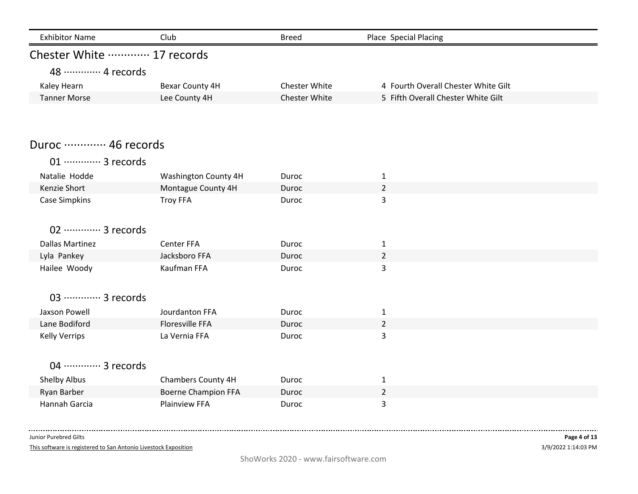| <b>Exhibitor Name</b>          | Club                       | <b>Breed</b>  | Place Special Placing               |
|--------------------------------|----------------------------|---------------|-------------------------------------|
| Chester White ………… 17 records  |                            |               |                                     |
| 48 ………… 4 records              |                            |               |                                     |
| Kaley Hearn                    | Bexar County 4H            | Chester White | 4 Fourth Overall Chester White Gilt |
| <b>Tanner Morse</b>            | Lee County 4H              | Chester White | 5 Fifth Overall Chester White Gilt  |
|                                |                            |               |                                     |
|                                |                            |               |                                     |
| Duroc ············· 46 records |                            |               |                                     |
| 01 ············· 3 records     |                            |               |                                     |
| Natalie Hodde                  | Washington County 4H       | Duroc         | $\mathbf{1}$                        |
| Kenzie Short                   | Montague County 4H         | Duroc         | $\overline{2}$                      |
| <b>Case Simpkins</b>           | <b>Troy FFA</b>            | Duroc         | 3                                   |
|                                |                            |               |                                     |
| 02 ············· 3 records     |                            |               |                                     |
|                                |                            |               |                                     |
| <b>Dallas Martinez</b>         | Center FFA                 | Duroc         | $\mathbf 1$                         |
| Lyla Pankey                    | Jacksboro FFA              | Duroc         | $\overline{2}$                      |
| Hailee Woody                   | Kaufman FFA                | Duroc         | 3                                   |
|                                |                            |               |                                     |
| 03 ············· 3 records     |                            |               |                                     |
| Jaxson Powell                  | Jourdanton FFA             | Duroc         | $\mathbf{1}$                        |
| Lane Bodiford                  | Floresville FFA            | Duroc         | $\overline{2}$                      |
| <b>Kelly Verrips</b>           | La Vernia FFA              | Duroc         | $\mathsf{3}$                        |
|                                |                            |               |                                     |
| 04 ………… 3 records              |                            |               |                                     |
| Shelby Albus                   | Chambers County 4H         | Duroc         | $\mathbf{1}$                        |
| Ryan Barber                    | <b>Boerne Champion FFA</b> | Duroc         | $\overline{2}$                      |
| Hannah Garcia                  | Plainview FFA              | Duroc         | $\overline{3}$                      |

-------------------------------

This software is registered to San Antonio Livestock Exposition

------------------------------------

. . . . . . . .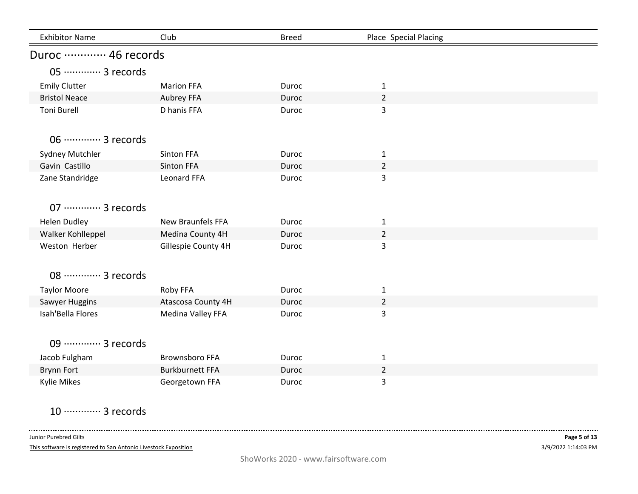| <b>Exhibitor Name</b>          | Club                     | <b>Breed</b> | Place Special Placing |
|--------------------------------|--------------------------|--------------|-----------------------|
| Duroc ············· 46 records |                          |              |                       |
| 05 ·············· 3 records    |                          |              |                       |
| <b>Emily Clutter</b>           | <b>Marion FFA</b>        | Duroc        | $\mathbf 1$           |
| <b>Bristol Neace</b>           | Aubrey FFA               | Duroc        | $\overline{2}$        |
| Toni Burell                    | D hanis FFA              | Duroc        | $\mathsf{3}$          |
| 06 ············· 3 records     |                          |              |                       |
| Sydney Mutchler                | Sinton FFA               | Duroc        | $\mathbf{1}$          |
| Gavin Castillo                 | Sinton FFA               | Duroc        | $\overline{2}$        |
| Zane Standridge                | Leonard FFA              | Duroc        | $\mathsf{3}$          |
| 07 ·············· 3 records    |                          |              |                       |
| <b>Helen Dudley</b>            | <b>New Braunfels FFA</b> | Duroc        | $\mathbf{1}$          |
| Walker Kohlleppel              | Medina County 4H         | Duroc        | $\overline{2}$        |
| Weston Herber                  | Gillespie County 4H      | Duroc        | $\mathsf{3}$          |
| 08 ············· 3 records     |                          |              |                       |
| <b>Taylor Moore</b>            | Roby FFA                 | Duroc        | $\mathbf{1}$          |
| Sawyer Huggins                 | Atascosa County 4H       | Duroc        | $\overline{2}$        |
| Isah'Bella Flores              | Medina Valley FFA        | Duroc        | $\mathsf{3}$          |
| 09 ············· 3 records     |                          |              |                       |
| Jacob Fulgham                  | <b>Brownsboro FFA</b>    | Duroc        | $\mathbf{1}$          |
| <b>Brynn Fort</b>              | <b>Burkburnett FFA</b>   | Duroc        | $\overline{2}$        |
| <b>Kylie Mikes</b>             | Georgetown FFA           | Duroc        | $\mathsf{3}$          |

10 ·············· 3 records

Junior Purebred Gilts

This software is registered to San Antonio Livestock Exposition

-------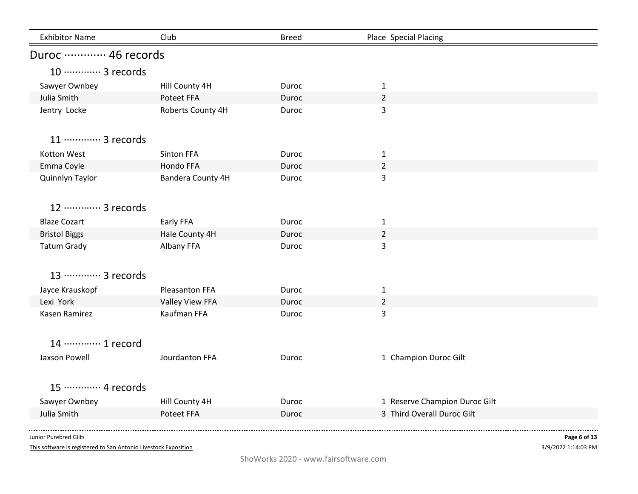| <b>Exhibitor Name</b>          | Club              | <b>Breed</b> | Place Special Placing         |  |
|--------------------------------|-------------------|--------------|-------------------------------|--|
| Duroc ············· 46 records |                   |              |                               |  |
| 10 ············· 3 records     |                   |              |                               |  |
| Sawyer Ownbey                  | Hill County 4H    | Duroc        | $\mathbf 1$                   |  |
| Julia Smith                    | Poteet FFA        | Duroc        | $\overline{2}$                |  |
| Jentry Locke                   | Roberts County 4H | Duroc        | 3                             |  |
|                                |                   |              |                               |  |
| 11 ………… 3 records              |                   |              |                               |  |
| Kotton West                    | Sinton FFA        | Duroc        | $\mathbf{1}$                  |  |
| Emma Coyle                     | Hondo FFA         | Duroc        | $\overline{2}$                |  |
| Quinnlyn Taylor                | Bandera County 4H | Duroc        | $\mathsf{3}$                  |  |
|                                |                   |              |                               |  |
| 12 ………… 3 records              |                   |              |                               |  |
| <b>Blaze Cozart</b>            | Early FFA         | Duroc        | $\mathbf{1}$                  |  |
| <b>Bristol Biggs</b>           | Hale County 4H    | Duroc        | $\overline{2}$                |  |
| <b>Tatum Grady</b>             | Albany FFA        | Duroc        | $\mathsf{3}$                  |  |
|                                |                   |              |                               |  |
| 13 ············· 3 records     |                   |              |                               |  |
| Jayce Krauskopf                | Pleasanton FFA    | Duroc        | $\mathbf{1}$                  |  |
| Lexi York                      | Valley View FFA   | Duroc        | $\overline{2}$                |  |
| Kasen Ramirez                  | Kaufman FFA       | Duroc        | $\overline{3}$                |  |
|                                |                   |              |                               |  |
|                                |                   |              |                               |  |
| 14 ………… 1 record               |                   |              |                               |  |
| Jaxson Powell                  | Jourdanton FFA    | Duroc        | 1 Champion Duroc Gilt         |  |
|                                |                   |              |                               |  |
| 15 ············· 4 records     |                   |              |                               |  |
| Sawyer Ownbey                  | Hill County 4H    | Duroc        | 1 Reserve Champion Duroc Gilt |  |
| Julia Smith                    | Poteet FFA        | Duroc        | 3 Third Overall Duroc Gilt    |  |
|                                |                   |              |                               |  |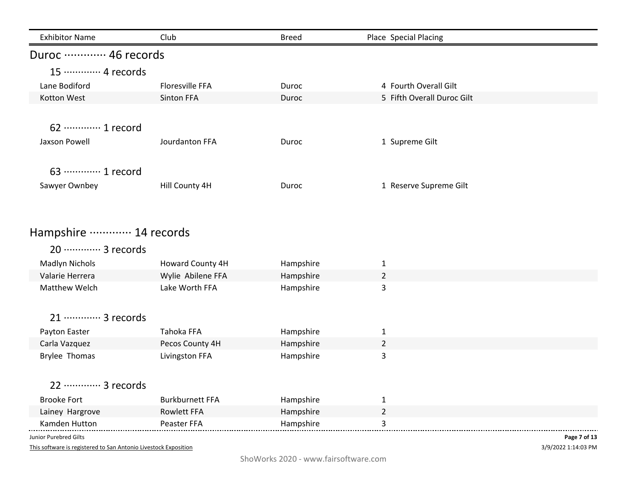| <b>Exhibitor Name</b> | Club            | <b>Breed</b> | Place Special Placing      |  |
|-----------------------|-----------------|--------------|----------------------------|--|
| Duroc  46 records     |                 |              |                            |  |
| 15 ………… 4 records     |                 |              |                            |  |
| Lane Bodiford         | Floresville FFA | Duroc        | 4 Fourth Overall Gilt      |  |
| Kotton West           | Sinton FFA      | Duroc        | 5 Fifth Overall Duroc Gilt |  |
| 62 ………… 1 record      |                 |              |                            |  |
| Jaxson Powell         | Jourdanton FFA  | Duroc        | 1 Supreme Gilt             |  |
| 63 ………… 1 record      |                 |              |                            |  |
| Sawyer Ownbey         | Hill County 4H  | Duroc        | 1 Reserve Supreme Gilt     |  |

# Hampshire ·············· 14 records

|                 | 20 ………… 3 records |           |
|-----------------|-------------------|-----------|
| Madlyn Nichols  | Howard County 4H  | Hampshire |
| Valarie Herrera | Wylie Abilene FFA | Hampshire |
| Matthew Welch   | Lake Worth FFA    | Hampshire |

### 21 ·············· 3 records

| Payton Easter | Tahoka FFA      | Hampshire |  |
|---------------|-----------------|-----------|--|
| Carla Vazquez | Pecos County 4H | Hampshire |  |
| Brylee Thomas | Livingston FFA  | Hampshire |  |

#### 22 ············· 3 records

| Enr'<br>Brooke F   | FFA                | Hampshire          |  |
|--------------------|--------------------|--------------------|--|
| Hargrove<br>Lainey | <b>Rowlett FFA</b> | npshire            |  |
| komur<br>Hutton    | nactor I           | npshire<br>, , , , |  |

Junior Purebred Gilts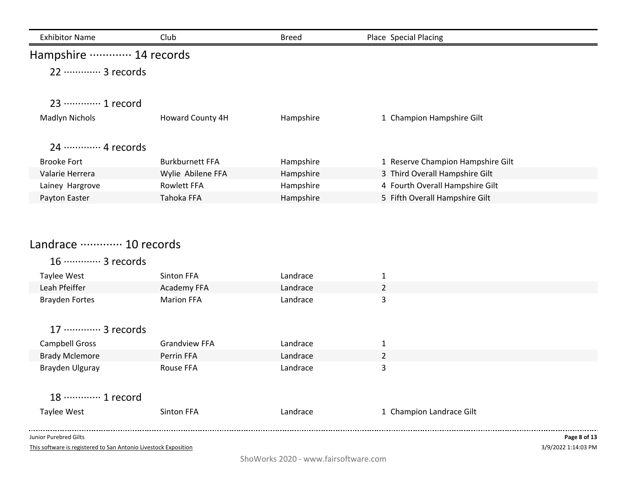| <b>Exhibitor Name</b>                                                                    | Club                   | <b>Breed</b> | Place Special Placing             |                                     |
|------------------------------------------------------------------------------------------|------------------------|--------------|-----------------------------------|-------------------------------------|
| Hampshire ………… 14 records                                                                |                        |              |                                   |                                     |
| 22 ………… 3 records                                                                        |                        |              |                                   |                                     |
| 23 ………… 1 record                                                                         |                        |              |                                   |                                     |
| <b>Madlyn Nichols</b>                                                                    | Howard County 4H       | Hampshire    | 1 Champion Hampshire Gilt         |                                     |
| 24 ………… 4 records                                                                        |                        |              |                                   |                                     |
| <b>Brooke Fort</b>                                                                       | <b>Burkburnett FFA</b> | Hampshire    | 1 Reserve Champion Hampshire Gilt |                                     |
| Valarie Herrera                                                                          | Wylie Abilene FFA      | Hampshire    | 3 Third Overall Hampshire Gilt    |                                     |
| Lainey Hargrove                                                                          | <b>Rowlett FFA</b>     | Hampshire    | 4 Fourth Overall Hampshire Gilt   |                                     |
| Payton Easter                                                                            | Tahoka FFA             | Hampshire    | 5 Fifth Overall Hampshire Gilt    |                                     |
| Landrace  10 records<br>16 ············· 3 records                                       |                        |              |                                   |                                     |
| Taylee West                                                                              | Sinton FFA             | Landrace     | $\mathbf{1}$                      |                                     |
| Leah Pfeiffer                                                                            | Academy FFA            | Landrace     | $\overline{2}$                    |                                     |
| <b>Brayden Fortes</b>                                                                    | <b>Marion FFA</b>      | Landrace     | 3                                 |                                     |
| 17 ············· 3 records                                                               |                        |              |                                   |                                     |
| <b>Campbell Gross</b>                                                                    | <b>Grandview FFA</b>   | Landrace     | $\mathbf{1}$                      |                                     |
| <b>Brady Mclemore</b>                                                                    | Perrin FFA             | Landrace     | $\overline{2}$                    |                                     |
| Brayden Ulguray                                                                          | <b>Rouse FFA</b>       | Landrace     | 3                                 |                                     |
| 18 ············· 1 record                                                                |                        |              |                                   |                                     |
| Taylee West                                                                              | Sinton FFA             | Landrace     | 1 Champion Landrace Gilt          |                                     |
| Junior Purebred Gilts<br>This software is registered to San Antonio Livestock Exposition |                        |              |                                   | Page 8 of 13<br>3/9/2022 1:14:03 PM |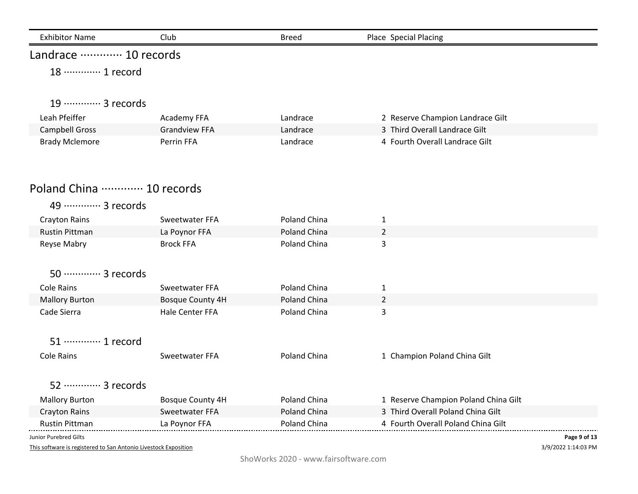| <b>Exhibitor Name</b>      | Club                    | <b>Breed</b>        | Place Special Placing                |              |
|----------------------------|-------------------------|---------------------|--------------------------------------|--------------|
| Landrace  10 records       |                         |                     |                                      |              |
| 18 ………… 1 record           |                         |                     |                                      |              |
|                            |                         |                     |                                      |              |
| 19 ············· 3 records |                         |                     |                                      |              |
| Leah Pfeiffer              | Academy FFA             | Landrace            | 2 Reserve Champion Landrace Gilt     |              |
| <b>Campbell Gross</b>      | <b>Grandview FFA</b>    | Landrace            | 3 Third Overall Landrace Gilt        |              |
| <b>Brady Mclemore</b>      | Perrin FFA              | Landrace            | 4 Fourth Overall Landrace Gilt       |              |
|                            |                         |                     |                                      |              |
|                            |                         |                     |                                      |              |
|                            |                         |                     |                                      |              |
| Poland China  10 records   |                         |                     |                                      |              |
| 49 ………… 3 records          |                         |                     |                                      |              |
| <b>Crayton Rains</b>       | Sweetwater FFA          | Poland China        | $\mathbf{1}$                         |              |
| <b>Rustin Pittman</b>      | La Poynor FFA           | Poland China        | $\overline{2}$                       |              |
| Reyse Mabry                | <b>Brock FFA</b>        | Poland China        | 3                                    |              |
|                            |                         |                     |                                      |              |
| 50 ············· 3 records |                         |                     |                                      |              |
| <b>Cole Rains</b>          | Sweetwater FFA          | Poland China        | $\mathbf{1}$                         |              |
| <b>Mallory Burton</b>      | <b>Bosque County 4H</b> | <b>Poland China</b> | $\overline{2}$                       |              |
| Cade Sierra                | <b>Hale Center FFA</b>  | Poland China        | 3                                    |              |
|                            |                         |                     |                                      |              |
| 51 ………… 1 record           |                         |                     |                                      |              |
| <b>Cole Rains</b>          | Sweetwater FFA          | Poland China        | 1 Champion Poland China Gilt         |              |
|                            |                         |                     |                                      |              |
|                            |                         |                     |                                      |              |
| 52 ………… 3 records          |                         |                     |                                      |              |
| <b>Mallory Burton</b>      | Bosque County 4H        | Poland China        | 1 Reserve Champion Poland China Gilt |              |
| <b>Crayton Rains</b>       | Sweetwater FFA          | Poland China        | 3 Third Overall Poland China Gilt    |              |
| Rustin Pittman             | La Poynor FFA           | Poland China        | 4 Fourth Overall Poland China Gilt   |              |
| Junior Purebred Gilts      |                         |                     |                                      | Page 9 of 13 |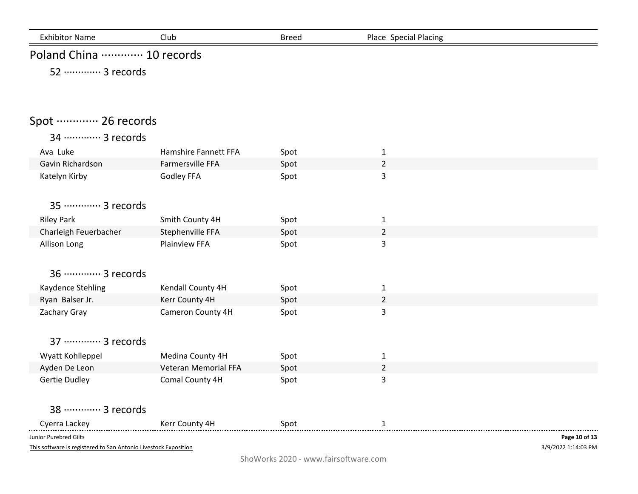| <b>Exhibitor Name</b>                                           | Club                 | <b>Breed</b>        | Place Special Placing |               |
|-----------------------------------------------------------------|----------------------|---------------------|-----------------------|---------------|
| Poland China  10 records                                        |                      |                     |                       |               |
| 52 ············· 3 records                                      |                      |                     |                       |               |
| Spot  26 records                                                |                      |                     |                       |               |
| 34 ………… 3 records                                               |                      |                     |                       |               |
| Ava Luke                                                        | Hamshire Fannett FFA | Spot                | $\mathbf{1}$          |               |
| Gavin Richardson                                                | Farmersville FFA     | Spot                | $\overline{2}$        |               |
| Katelyn Kirby                                                   | Godley FFA           | Spot                | $\mathsf{3}$          |               |
|                                                                 |                      |                     |                       |               |
| 35 ………… 3 records                                               |                      |                     |                       |               |
| <b>Riley Park</b>                                               | Smith County 4H      | Spot                | $\mathbf{1}$          |               |
| Charleigh Feuerbacher                                           | Stephenville FFA     | Spot                | $\overline{2}$        |               |
| Allison Long                                                    | Plainview FFA        | Spot                | 3                     |               |
|                                                                 |                      |                     |                       |               |
| 36 ············· 3 records                                      |                      |                     |                       |               |
| Kaydence Stehling                                               | Kendall County 4H    | Spot                | $\mathbf{1}$          |               |
| Ryan Balser Jr.                                                 | Kerr County 4H       | Spot                | $\overline{2}$        |               |
| Zachary Gray                                                    | Cameron County 4H    | Spot                | 3                     |               |
|                                                                 |                      |                     |                       |               |
| 37 ………… 3 records                                               |                      |                     |                       |               |
| Wyatt Kohlleppel                                                | Medina County 4H     | Spot                | $\mathbf{1}$          |               |
| Ayden De Leon                                                   | Veteran Memorial FFA | Spot                | $\overline{2}$        |               |
| Gertie Dudley                                                   | Comal County 4H      | Spot                | $\mathsf 3$           |               |
|                                                                 |                      |                     |                       |               |
| 38 ………… 3 records                                               |                      |                     |                       |               |
| Cyerra Lackey                                                   | Kerr County 4H       | Spot                | 1                     |               |
| Junior Purebred Gilts                                           |                      |                     |                       | Page 10 of 13 |
| This software is registered to San Antonio Livestock Exposition |                      | 3/9/2022 1:14:03 PM |                       |               |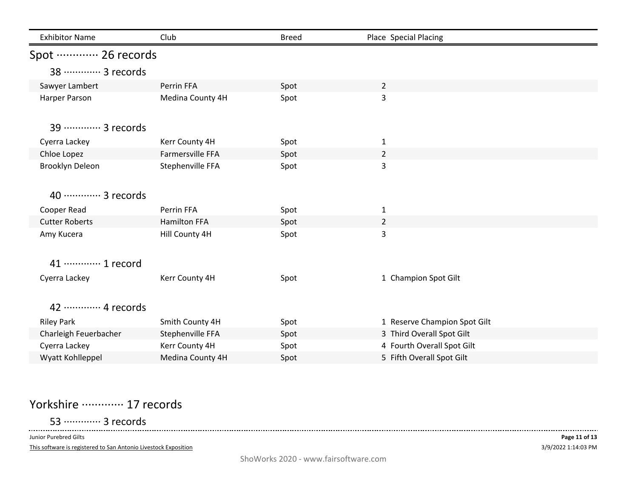| <b>Exhibitor Name</b>      | Club                | <b>Breed</b> | Place Special Placing        |
|----------------------------|---------------------|--------------|------------------------------|
| Spot  26 records           |                     |              |                              |
| 38 ………… 3 records          |                     |              |                              |
| Sawyer Lambert             | Perrin FFA          | Spot         | $\overline{2}$               |
| Harper Parson              | Medina County 4H    | Spot         | $\mathsf{3}$                 |
| 39  3 records              |                     |              |                              |
| Cyerra Lackey              | Kerr County 4H      | Spot         | $\mathbf{1}$                 |
| Chloe Lopez                | Farmersville FFA    | Spot         | $\overline{2}$               |
| Brooklyn Deleon            | Stephenville FFA    | Spot         | $\mathsf{3}$                 |
| 40 ············· 3 records |                     |              |                              |
| Cooper Read                | Perrin FFA          | Spot         | $\mathbf{1}$                 |
| <b>Cutter Roberts</b>      | <b>Hamilton FFA</b> | Spot         | $\overline{2}$               |
| Amy Kucera                 | Hill County 4H      | Spot         | 3                            |
| 41 ………… 1 record           |                     |              |                              |
| Cyerra Lackey              | Kerr County 4H      | Spot         | 1 Champion Spot Gilt         |
| 42 ………… 4 records          |                     |              |                              |
| <b>Riley Park</b>          | Smith County 4H     | Spot         | 1 Reserve Champion Spot Gilt |
| Charleigh Feuerbacher      | Stephenville FFA    | Spot         | 3 Third Overall Spot Gilt    |
| Cyerra Lackey              | Kerr County 4H      | Spot         | 4 Fourth Overall Spot Gilt   |
| Wyatt Kohlleppel           | Medina County 4H    | Spot         | 5 Fifth Overall Spot Gilt    |

### Yorkshire ·············· 17 records

53 ············· 3 records

Junior Purebred Gilts

 $\sim$   $\sim$   $\sim$   $\sim$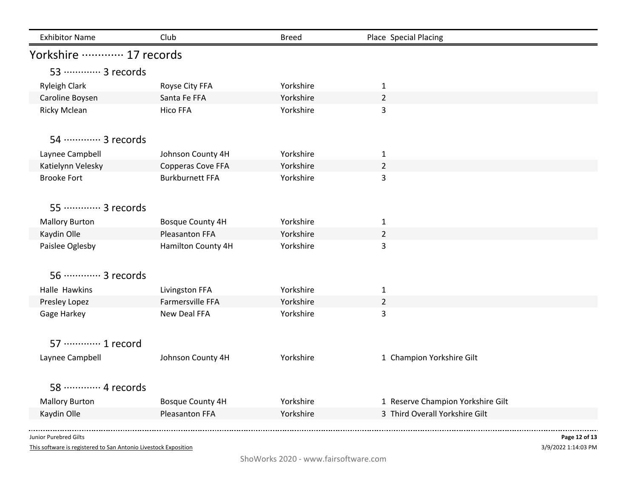| <b>Exhibitor Name</b>       | Club                    | <b>Breed</b> | Place Special Placing             |
|-----------------------------|-------------------------|--------------|-----------------------------------|
| Yorkshire ………… 17 records   |                         |              |                                   |
| 53 ………… 3 records           |                         |              |                                   |
| <b>Ryleigh Clark</b>        | Royse City FFA          | Yorkshire    | $\mathbf{1}$                      |
| Caroline Boysen             | Santa Fe FFA            | Yorkshire    | $\overline{2}$                    |
| <b>Ricky Mclean</b>         | <b>Hico FFA</b>         | Yorkshire    | 3                                 |
|                             |                         |              |                                   |
| 54 ………… 3 records           |                         |              |                                   |
| Laynee Campbell             | Johnson County 4H       | Yorkshire    | $\mathbf{1}$                      |
| Katielynn Velesky           | Copperas Cove FFA       | Yorkshire    | $\overline{2}$                    |
| <b>Brooke Fort</b>          | <b>Burkburnett FFA</b>  | Yorkshire    | 3                                 |
|                             |                         |              |                                   |
| 55 ·············· 3 records |                         |              |                                   |
| <b>Mallory Burton</b>       | <b>Bosque County 4H</b> | Yorkshire    | $\mathbf{1}$                      |
| Kaydin Olle                 | Pleasanton FFA          | Yorkshire    | $\overline{2}$                    |
| Paislee Oglesby             | Hamilton County 4H      | Yorkshire    | 3                                 |
|                             |                         |              |                                   |
| 56 ············· 3 records  |                         |              |                                   |
| Halle Hawkins               | Livingston FFA          | Yorkshire    | $\mathbf{1}$                      |
| Presley Lopez               | Farmersville FFA        | Yorkshire    | $\overline{2}$                    |
| Gage Harkey                 | New Deal FFA            | Yorkshire    | 3                                 |
|                             |                         |              |                                   |
|                             |                         |              |                                   |
| 57 ············· 1 record   |                         |              |                                   |
| Laynee Campbell             | Johnson County 4H       | Yorkshire    | 1 Champion Yorkshire Gilt         |
|                             |                         |              |                                   |
| 58 ………… 4 records           |                         |              |                                   |
| <b>Mallory Burton</b>       | <b>Bosque County 4H</b> | Yorkshire    | 1 Reserve Champion Yorkshire Gilt |
| Kaydin Olle                 | Pleasanton FFA          | Yorkshire    | 3 Third Overall Yorkshire Gilt    |
|                             |                         |              |                                   |